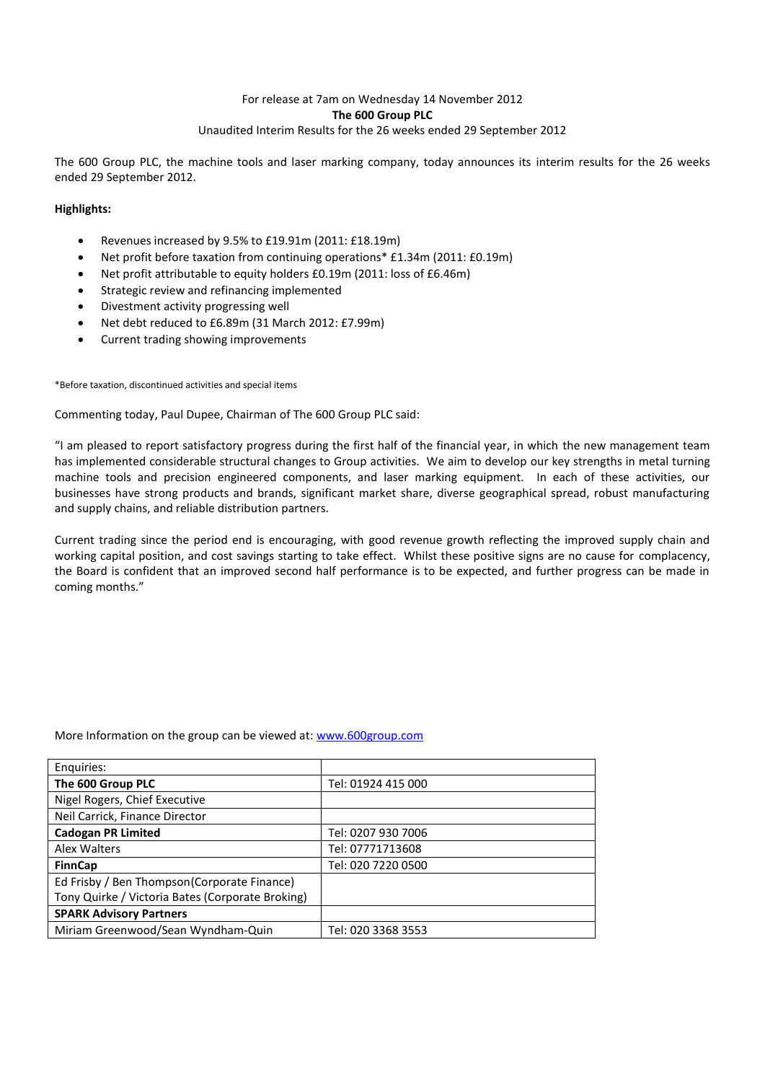## For release at 7am on Wednesday 14 November 2012 **The 600 Group PLC** Unaudited Interim Results for the 26 weeks ended 29 September 2012

The 600 Group PLC, the machine tools and laser marking company, today announces its interim results for the 26 weeks ended 29 September 2012.

## **Highlights:**

- Revenues increased by 9.5% to £19.91m (2011: £18.19m)
- Net profit before taxation from continuing operations\* £1.34m (2011: £0.19m)
- Net profit attributable to equity holders £0.19m (2011: loss of £6.46m)
- Strategic review and refinancing implemented
- Divestment activity progressing well
- Net debt reduced to £6.89m (31 March 2012: £7.99m)
- Current trading showing improvements

### \*Before taxation, discontinued activities and special items

## Commenting today, Paul Dupee, Chairman of The 600 Group PLC said:

"I am pleased to report satisfactory progress during the first half of the financial year, in which the new management team has implemented considerable structural changes to Group activities. We aim to develop our key strengths in metal turning machine tools and precision engineered components, and laser marking equipment. In each of these activities, our businesses have strong products and brands, significant market share, diverse geographical spread, robust manufacturing and supply chains, and reliable distribution partners.

Current trading since the period end is encouraging, with good revenue growth reflecting the improved supply chain and working capital position, and cost savings starting to take effect. Whilst these positive signs are no cause for complacency, the Board is confident that an improved second half performance is to be expected, and further progress can be made in coming months."

|  |  |  | More Information on the group can be viewed at: www.600group.com |
|--|--|--|------------------------------------------------------------------|
|--|--|--|------------------------------------------------------------------|

| Enquiries:                                       |                    |
|--------------------------------------------------|--------------------|
| The 600 Group PLC                                | Tel: 01924 415 000 |
| Nigel Rogers, Chief Executive                    |                    |
| Neil Carrick, Finance Director                   |                    |
| <b>Cadogan PR Limited</b>                        | Tel: 0207 930 7006 |
| Alex Walters                                     | Tel: 07771713608   |
| <b>FinnCap</b>                                   | Tel: 020 7220 0500 |
| Ed Frisby / Ben Thompson (Corporate Finance)     |                    |
| Tony Quirke / Victoria Bates (Corporate Broking) |                    |
| <b>SPARK Advisory Partners</b>                   |                    |
| Miriam Greenwood/Sean Wyndham-Quin               | Tel: 020 3368 3553 |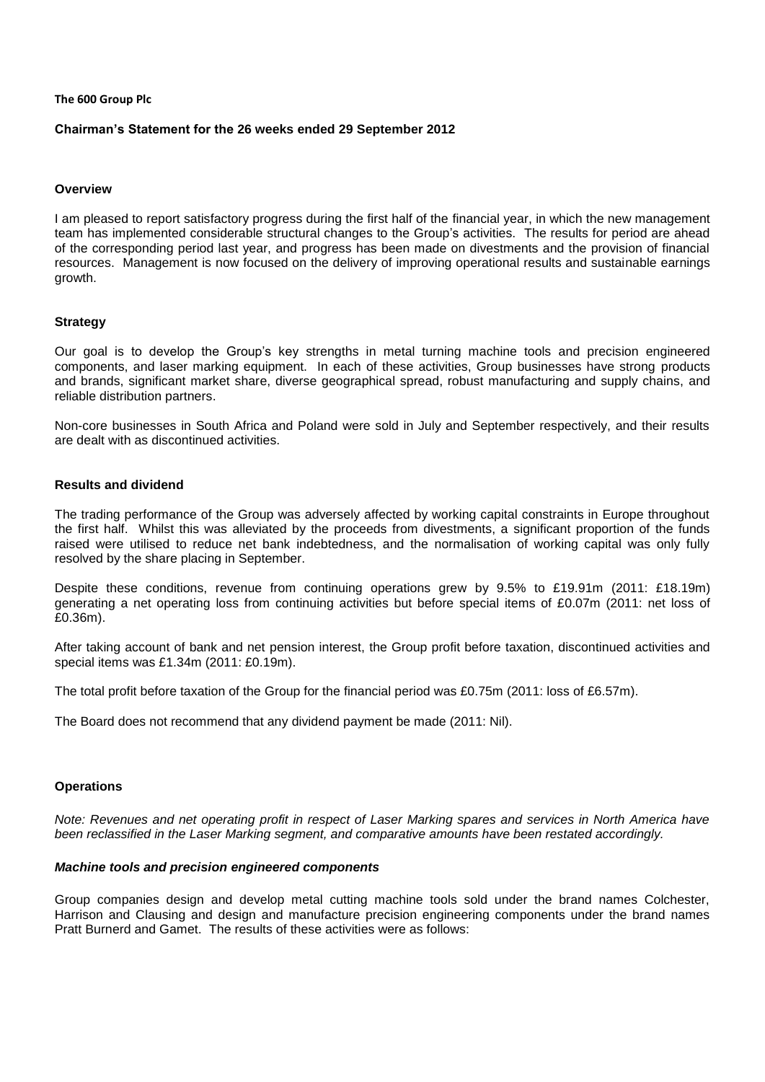#### **The 600 Group Plc**

### **Chairman's Statement for the 26 weeks ended 29 September 2012**

## **Overview**

I am pleased to report satisfactory progress during the first half of the financial year, in which the new management team has implemented considerable structural changes to the Group's activities. The results for period are ahead of the corresponding period last year, and progress has been made on divestments and the provision of financial resources. Management is now focused on the delivery of improving operational results and sustainable earnings growth.

## **Strategy**

Our goal is to develop the Group's key strengths in metal turning machine tools and precision engineered components, and laser marking equipment. In each of these activities, Group businesses have strong products and brands, significant market share, diverse geographical spread, robust manufacturing and supply chains, and reliable distribution partners.

Non-core businesses in South Africa and Poland were sold in July and September respectively, and their results are dealt with as discontinued activities.

## **Results and dividend**

The trading performance of the Group was adversely affected by working capital constraints in Europe throughout the first half. Whilst this was alleviated by the proceeds from divestments, a significant proportion of the funds raised were utilised to reduce net bank indebtedness, and the normalisation of working capital was only fully resolved by the share placing in September.

Despite these conditions, revenue from continuing operations grew by 9.5% to £19.91m (2011: £18.19m) generating a net operating loss from continuing activities but before special items of £0.07m (2011: net loss of £0.36m).

After taking account of bank and net pension interest, the Group profit before taxation, discontinued activities and special items was £1.34m (2011: £0.19m).

The total profit before taxation of the Group for the financial period was £0.75m (2011: loss of £6.57m).

The Board does not recommend that any dividend payment be made (2011: Nil).

### **Operations**

*Note: Revenues and net operating profit in respect of Laser Marking spares and services in North America have been reclassified in the Laser Marking segment, and comparative amounts have been restated accordingly.*

### *Machine tools and precision engineered components*

Group companies design and develop metal cutting machine tools sold under the brand names Colchester, Harrison and Clausing and design and manufacture precision engineering components under the brand names Pratt Burnerd and Gamet. The results of these activities were as follows: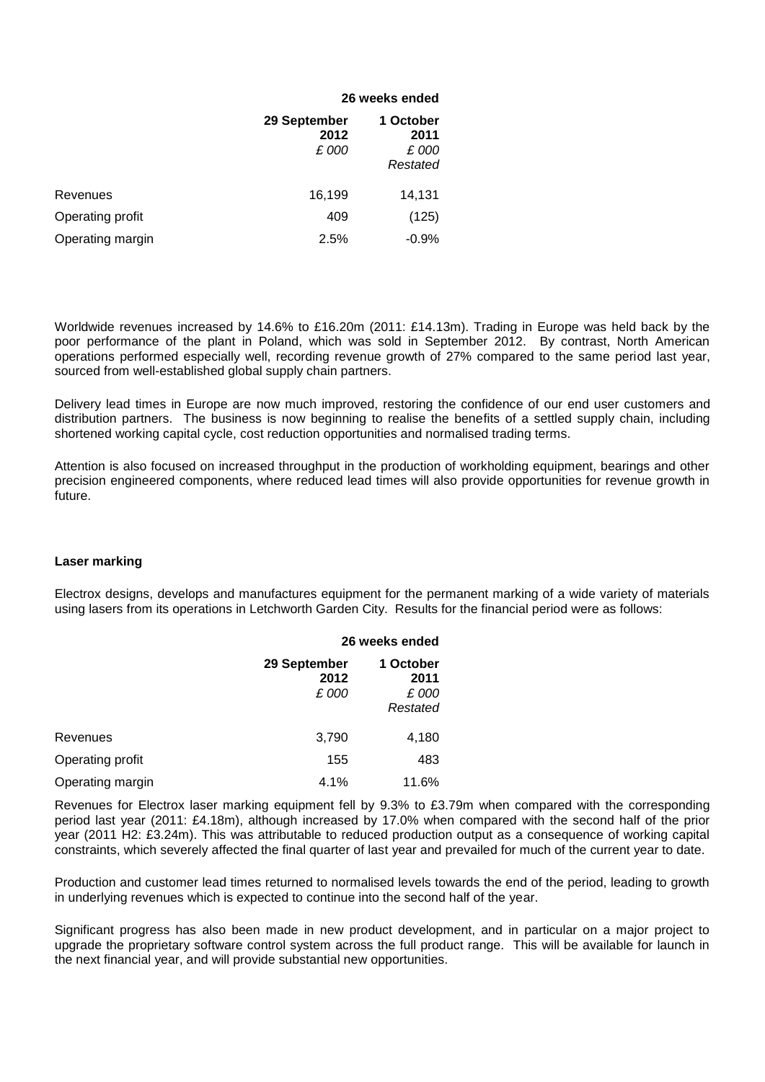|                  |                               | 26 weeks ended                         |
|------------------|-------------------------------|----------------------------------------|
|                  | 29 September<br>2012<br>£ 000 | 1 October<br>2011<br>£ 000<br>Restated |
| Revenues         | 16,199                        | 14,131                                 |
| Operating profit | 409                           | (125)                                  |
| Operating margin | 2.5%                          | $-0.9%$                                |

Worldwide revenues increased by 14.6% to £16.20m (2011: £14.13m). Trading in Europe was held back by the poor performance of the plant in Poland, which was sold in September 2012. By contrast, North American operations performed especially well, recording revenue growth of 27% compared to the same period last year, sourced from well-established global supply chain partners.

Delivery lead times in Europe are now much improved, restoring the confidence of our end user customers and distribution partners. The business is now beginning to realise the benefits of a settled supply chain, including shortened working capital cycle, cost reduction opportunities and normalised trading terms.

Attention is also focused on increased throughput in the production of workholding equipment, bearings and other precision engineered components, where reduced lead times will also provide opportunities for revenue growth in future.

## **Laser marking**

Electrox designs, develops and manufactures equipment for the permanent marking of a wide variety of materials using lasers from its operations in Letchworth Garden City. Results for the financial period were as follows:

|                  |                               | 26 weeks ended                         |  |  |  |  |
|------------------|-------------------------------|----------------------------------------|--|--|--|--|
|                  | 29 September<br>2012<br>£ 000 | 1 October<br>2011<br>£ 000<br>Restated |  |  |  |  |
| Revenues         | 3,790                         | 4,180                                  |  |  |  |  |
| Operating profit | 155                           | 483                                    |  |  |  |  |
| Operating margin | 4.1%                          | 11.6%                                  |  |  |  |  |

Revenues for Electrox laser marking equipment fell by 9.3% to £3.79m when compared with the corresponding period last year (2011: £4.18m), although increased by 17.0% when compared with the second half of the prior year (2011 H2: £3.24m). This was attributable to reduced production output as a consequence of working capital constraints, which severely affected the final quarter of last year and prevailed for much of the current year to date.

Production and customer lead times returned to normalised levels towards the end of the period, leading to growth in underlying revenues which is expected to continue into the second half of the year.

Significant progress has also been made in new product development, and in particular on a major project to upgrade the proprietary software control system across the full product range. This will be available for launch in the next financial year, and will provide substantial new opportunities.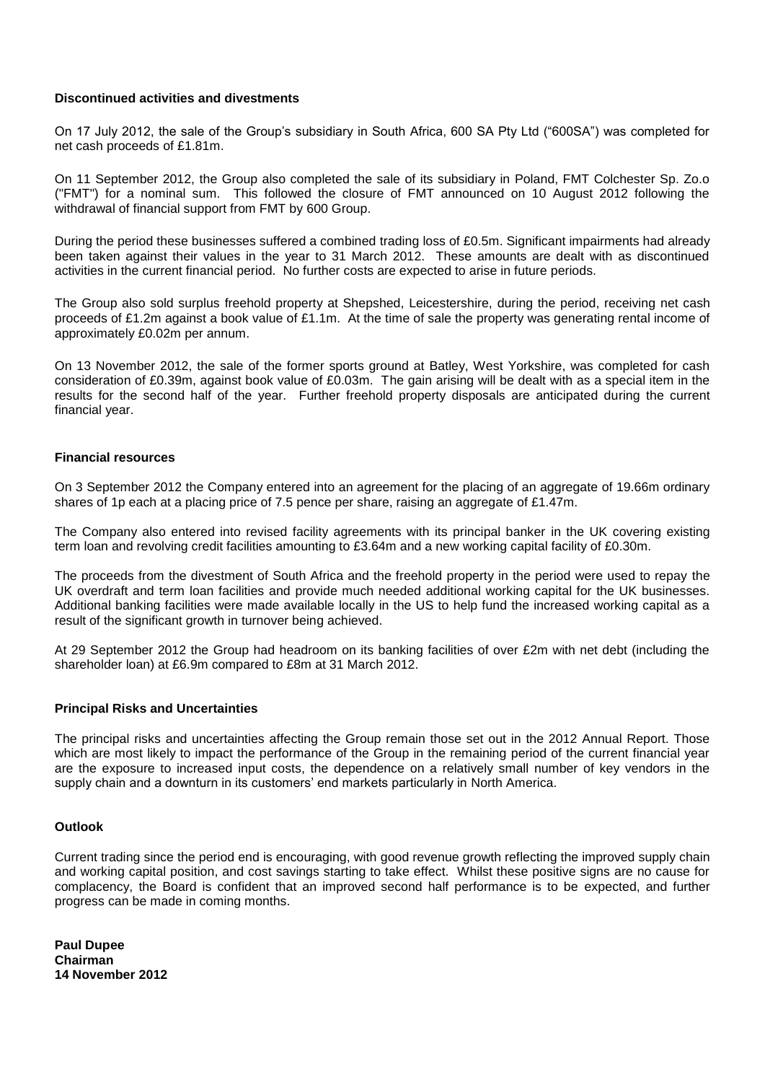## **Discontinued activities and divestments**

On 17 July 2012, the sale of the Group's subsidiary in South Africa, 600 SA Pty Ltd ("600SA") was completed for net cash proceeds of £1.81m.

On 11 September 2012, the Group also completed the sale of its subsidiary in Poland, FMT Colchester Sp. Zo.o ("FMT") for a nominal sum. This followed the closure of FMT announced on 10 August 2012 following the withdrawal of financial support from FMT by 600 Group.

During the period these businesses suffered a combined trading loss of £0.5m. Significant impairments had already been taken against their values in the year to 31 March 2012. These amounts are dealt with as discontinued activities in the current financial period. No further costs are expected to arise in future periods.

The Group also sold surplus freehold property at Shepshed, Leicestershire, during the period, receiving net cash proceeds of £1.2m against a book value of £1.1m. At the time of sale the property was generating rental income of approximately £0.02m per annum.

On 13 November 2012, the sale of the former sports ground at Batley, West Yorkshire, was completed for cash consideration of £0.39m, against book value of £0.03m. The gain arising will be dealt with as a special item in the results for the second half of the year. Further freehold property disposals are anticipated during the current financial year.

## **Financial resources**

On 3 September 2012 the Company entered into an agreement for the placing of an aggregate of 19.66m ordinary shares of 1p each at a placing price of 7.5 pence per share, raising an aggregate of £1.47m.

The Company also entered into revised facility agreements with its principal banker in the UK covering existing term loan and revolving credit facilities amounting to £3.64m and a new working capital facility of £0.30m.

The proceeds from the divestment of South Africa and the freehold property in the period were used to repay the UK overdraft and term loan facilities and provide much needed additional working capital for the UK businesses. Additional banking facilities were made available locally in the US to help fund the increased working capital as a result of the significant growth in turnover being achieved.

At 29 September 2012 the Group had headroom on its banking facilities of over £2m with net debt (including the shareholder loan) at £6.9m compared to £8m at 31 March 2012.

## **Principal Risks and Uncertainties**

The principal risks and uncertainties affecting the Group remain those set out in the 2012 Annual Report. Those which are most likely to impact the performance of the Group in the remaining period of the current financial year are the exposure to increased input costs, the dependence on a relatively small number of key vendors in the supply chain and a downturn in its customers' end markets particularly in North America.

## **Outlook**

Current trading since the period end is encouraging, with good revenue growth reflecting the improved supply chain and working capital position, and cost savings starting to take effect. Whilst these positive signs are no cause for complacency, the Board is confident that an improved second half performance is to be expected, and further progress can be made in coming months.

**Paul Dupee Chairman 14 November 2012**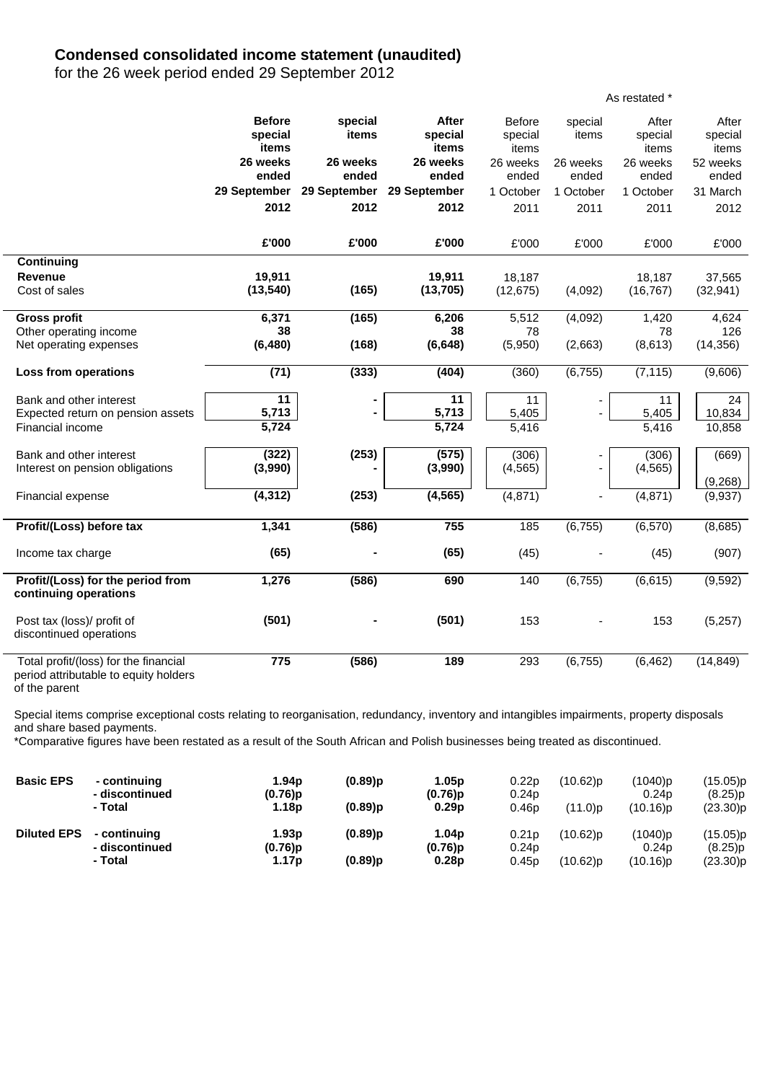## **Condensed consolidated income statement (unaudited)**

for the 26 week period ended 29 September 2012

|                                                                                |                                          |                  |                                  |                                   |                          | As restated *             |                           |
|--------------------------------------------------------------------------------|------------------------------------------|------------------|----------------------------------|-----------------------------------|--------------------------|---------------------------|---------------------------|
|                                                                                | <b>Before</b><br>special<br><b>items</b> | special<br>items | After<br>special<br><b>items</b> | <b>Before</b><br>special<br>items | special<br>items         | After<br>special<br>items | After<br>special<br>items |
|                                                                                | 26 weeks                                 | 26 weeks         | 26 weeks                         | 26 weeks                          | 26 weeks                 | 26 weeks                  | 52 weeks                  |
|                                                                                | ended                                    | ended            | ended                            | ended                             | ended                    | ended                     | ended                     |
|                                                                                | 29 September                             | 29 September     | 29 September                     | 1 October                         | 1 October                | 1 October                 | 31 March                  |
|                                                                                | 2012                                     | 2012             | 2012                             | 2011                              | 2011                     | 2011                      | 2012                      |
|                                                                                | £'000                                    | £'000            | £'000                            | £'000                             | £'000                    | £'000                     | £'000                     |
| Continuing                                                                     |                                          |                  |                                  |                                   |                          |                           |                           |
| <b>Revenue</b>                                                                 | 19,911                                   |                  | 19,911                           | 18,187                            |                          | 18,187                    | 37,565                    |
| Cost of sales                                                                  | (13, 540)                                | (165)            | (13, 705)                        | (12, 675)                         | (4,092)                  | (16, 767)                 | (32, 941)                 |
| <b>Gross profit</b>                                                            | 6,371                                    | (165)            | 6,206                            | 5,512                             | (4,092)                  | 1,420                     | 4,624                     |
| Other operating income                                                         | 38                                       |                  | 38                               | 78                                |                          | 78                        | 126                       |
| Net operating expenses                                                         | (6, 480)                                 | (168)            | (6, 648)                         | (5,950)                           | (2,663)                  | (8,613)                   | (14, 356)                 |
| Loss from operations                                                           | (71)                                     | (333)            | (404)                            | (360)                             | (6, 755)                 | (7, 115)                  | (9,606)                   |
| Bank and other interest                                                        | 11                                       |                  | 11                               | 11                                |                          | 11                        | 24                        |
| Expected return on pension assets                                              | 5,713                                    |                  | 5,713                            | 5,405                             |                          | 5,405                     | 10,834                    |
| Financial income                                                               | 5,724                                    |                  | 5,724                            | 5,416                             |                          | 5,416                     | 10,858                    |
| Bank and other interest                                                        | (322)                                    | (253)            | (575)                            | (306)                             |                          | (306)                     | (669)                     |
| Interest on pension obligations                                                | (3,990)                                  |                  | (3,990)                          | (4, 565)                          | $\overline{\phantom{0}}$ | (4, 565)                  |                           |
| Financial expense                                                              | (4, 312)                                 | (253)            | (4, 565)                         | (4, 871)                          | ä,                       | (4, 871)                  | (9,268)                   |
|                                                                                |                                          |                  |                                  |                                   |                          |                           | (9,937)                   |
| Profit/(Loss) before tax                                                       | 1,341                                    | (586)            | 755                              | 185                               | (6, 755)                 | (6, 570)                  | (8,685)                   |
| Income tax charge                                                              | (65)                                     |                  | (65)                             | (45)                              |                          | (45)                      | (907)                     |
| Profit/(Loss) for the period from                                              | 1,276                                    | (586)            | 690                              | 140                               | (6, 755)                 | (6,615)                   | (9,592)                   |
| continuing operations                                                          |                                          |                  |                                  |                                   |                          |                           |                           |
| Post tax (loss)/ profit of                                                     | (501)                                    |                  | (501)                            | 153                               |                          | 153                       | (5,257)                   |
| discontinued operations                                                        |                                          |                  |                                  |                                   |                          |                           |                           |
| Total profit/(loss) for the financial<br>period attributable to equity holders | 775                                      | (586)            | 189                              | 293                               | (6, 755)                 | (6, 462)                  | (14, 849)                 |

of the parent

Special items comprise exceptional costs relating to reorganisation, redundancy, inventory and intangibles impairments, property disposals and share based payments.

\*Comparative figures have been restated as a result of the South African and Polish businesses being treated as discontinued.

| <b>Basic EPS</b>   | - continuing<br>- discontinued | 1.94 <sub>p</sub><br>(0.76)p | $(0.89)$ p | 1.05p<br>$(0.76)$ p             | 0.22p<br>0.24 <sub>p</sub> | $(10.62)$ p | (1040)p<br>0.24 <sub>D</sub> | (15.05)p<br>(8.25)p |
|--------------------|--------------------------------|------------------------------|------------|---------------------------------|----------------------------|-------------|------------------------------|---------------------|
|                    | - Total                        | 1.18 <sub>p</sub>            | $(0.89)$ p | 0.29 <sub>p</sub>               | 0.46 <sub>p</sub>          | $(11.0)$ p  | (10.16)p                     | (23.30)p            |
| <b>Diluted EPS</b> | - continuing<br>- discontinued | 1.93 <sub>p</sub><br>(0.76)p | $(0.89)$ p | 1.04 <sub>p</sub><br>$(0.76)$ p | 0.21p<br>0.24 <sub>p</sub> | $(10.62)$ p | (1040)p<br>0.24 <sub>D</sub> | (15.05)p<br>(8.25)p |
|                    | - Total                        | 1.17p                        | $(0.89)$ p | 0.28 <sub>p</sub>               | 0.45p                      | $(10.62)$ p | (10.16)p                     | (23.30)p            |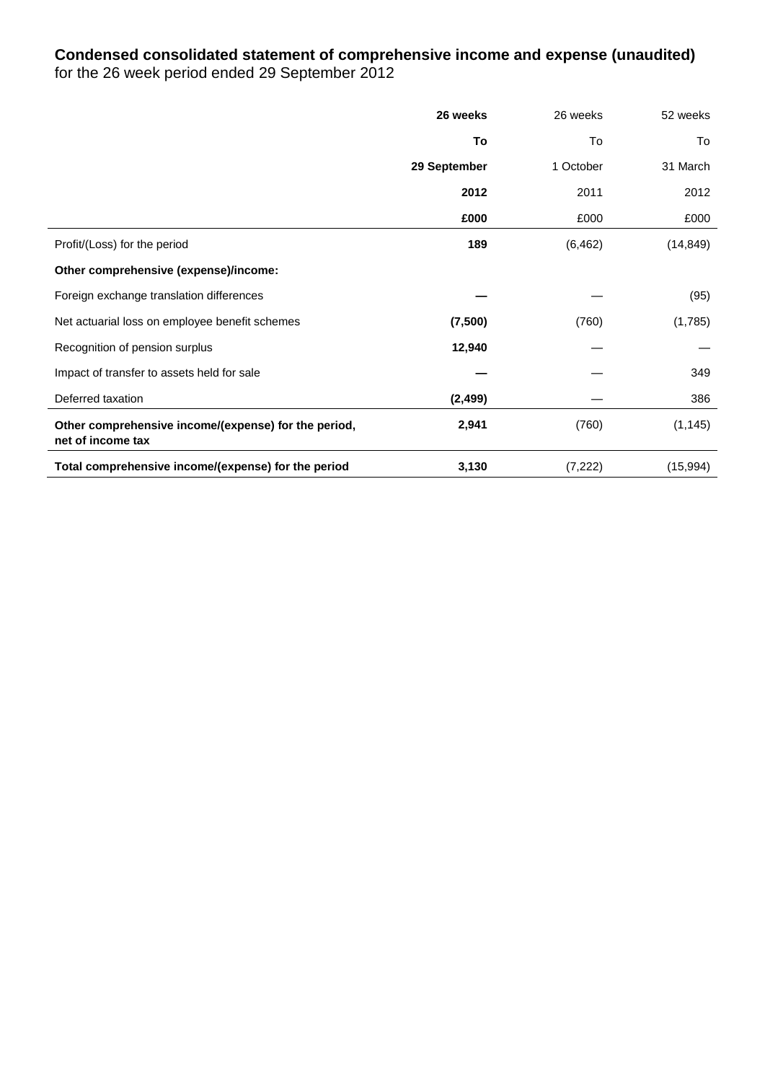# **Condensed consolidated statement of comprehensive income and expense (unaudited)** for the 26 week period ended 29 September 2012

|                                                                           | 26 weeks     | 26 weeks  | 52 weeks  |
|---------------------------------------------------------------------------|--------------|-----------|-----------|
|                                                                           | To           | To        | To        |
|                                                                           | 29 September | 1 October | 31 March  |
|                                                                           | 2012         | 2011      | 2012      |
|                                                                           | £000         | £000      | £000      |
| Profit/(Loss) for the period                                              | 189          | (6, 462)  | (14, 849) |
| Other comprehensive (expense)/income:                                     |              |           |           |
| Foreign exchange translation differences                                  |              |           | (95)      |
| Net actuarial loss on employee benefit schemes                            | (7,500)      | (760)     | (1,785)   |
| Recognition of pension surplus                                            | 12,940       |           |           |
| Impact of transfer to assets held for sale                                |              |           | 349       |
| Deferred taxation                                                         | (2, 499)     |           | 386       |
| Other comprehensive income/(expense) for the period,<br>net of income tax | 2,941        | (760)     | (1, 145)  |
| Total comprehensive income/(expense) for the period                       | 3,130        | (7, 222)  | (15,994)  |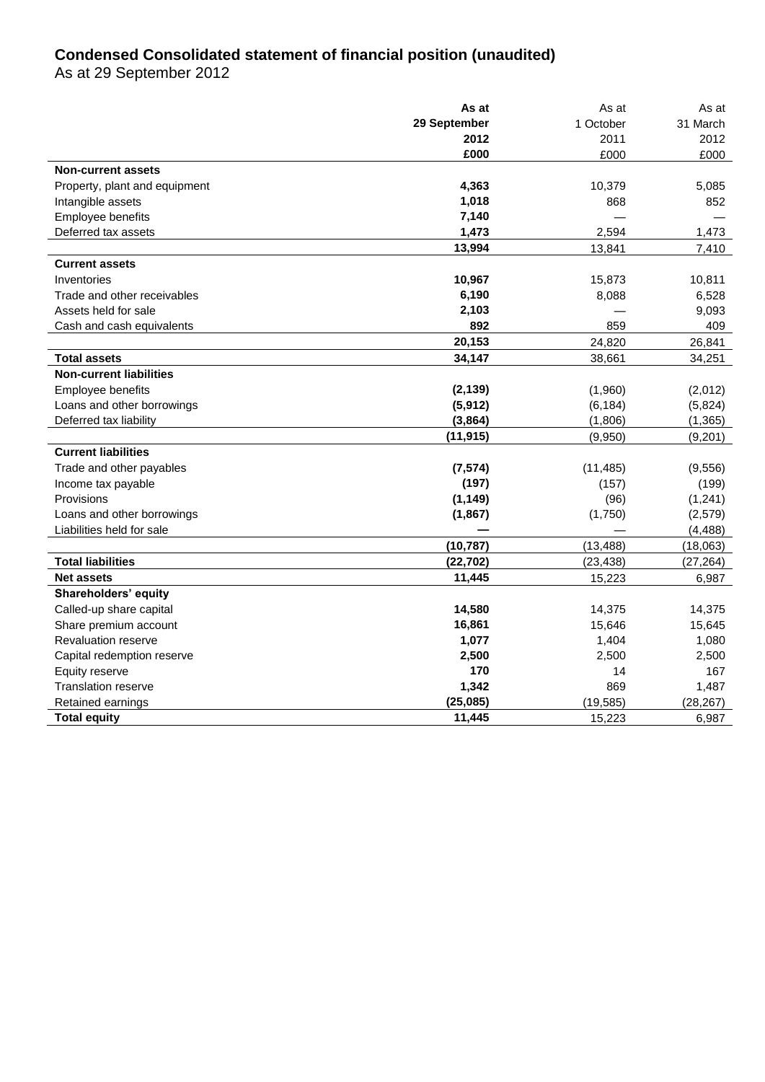# **Condensed Consolidated statement of financial position (unaudited)**

As at 29 September 2012

|                                | As at        | As at     | As at     |
|--------------------------------|--------------|-----------|-----------|
|                                | 29 September | 1 October | 31 March  |
|                                | 2012         | 2011      | 2012      |
|                                | £000         | £000      | £000      |
| <b>Non-current assets</b>      |              |           |           |
| Property, plant and equipment  | 4,363        | 10,379    | 5,085     |
| Intangible assets              | 1,018        | 868       | 852       |
| Employee benefits              | 7,140        |           |           |
| Deferred tax assets            | 1,473        | 2,594     | 1,473     |
|                                | 13,994       | 13,841    | 7,410     |
| <b>Current assets</b>          |              |           |           |
| Inventories                    | 10,967       | 15,873    | 10,811    |
| Trade and other receivables    | 6,190        | 8,088     | 6,528     |
| Assets held for sale           | 2,103        |           | 9,093     |
| Cash and cash equivalents      | 892          | 859       | 409       |
|                                | 20,153       | 24,820    | 26,841    |
| <b>Total assets</b>            | 34,147       | 38,661    | 34,251    |
| <b>Non-current liabilities</b> |              |           |           |
| Employee benefits              | (2, 139)     | (1,960)   | (2,012)   |
| Loans and other borrowings     | (5, 912)     | (6, 184)  | (5,824)   |
| Deferred tax liability         | (3,864)      | (1,806)   | (1, 365)  |
|                                | (11, 915)    | (9,950)   | (9,201)   |
| <b>Current liabilities</b>     |              |           |           |
| Trade and other payables       | (7, 574)     | (11, 485) | (9,556)   |
| Income tax payable             | (197)        | (157)     | (199)     |
| Provisions                     | (1, 149)     | (96)      | (1,241)   |
| Loans and other borrowings     | (1,867)      | (1,750)   | (2, 579)  |
| Liabilities held for sale      |              |           | (4, 488)  |
|                                | (10, 787)    | (13, 488) | (18,063)  |
| <b>Total liabilities</b>       | (22, 702)    | (23, 438) | (27, 264) |
| <b>Net assets</b>              | 11,445       | 15,223    | 6,987     |
| Shareholders' equity           |              |           |           |
| Called-up share capital        | 14,580       | 14,375    | 14,375    |
| Share premium account          | 16,861       | 15,646    | 15,645    |
| Revaluation reserve            | 1,077        | 1,404     | 1,080     |
| Capital redemption reserve     | 2,500        | 2,500     | 2,500     |
| Equity reserve                 | 170          | 14        | 167       |
| <b>Translation reserve</b>     | 1,342        | 869       | 1,487     |
| Retained earnings              | (25, 085)    | (19, 585) | (28, 267) |
| <b>Total equity</b>            | 11,445       | 15,223    | 6,987     |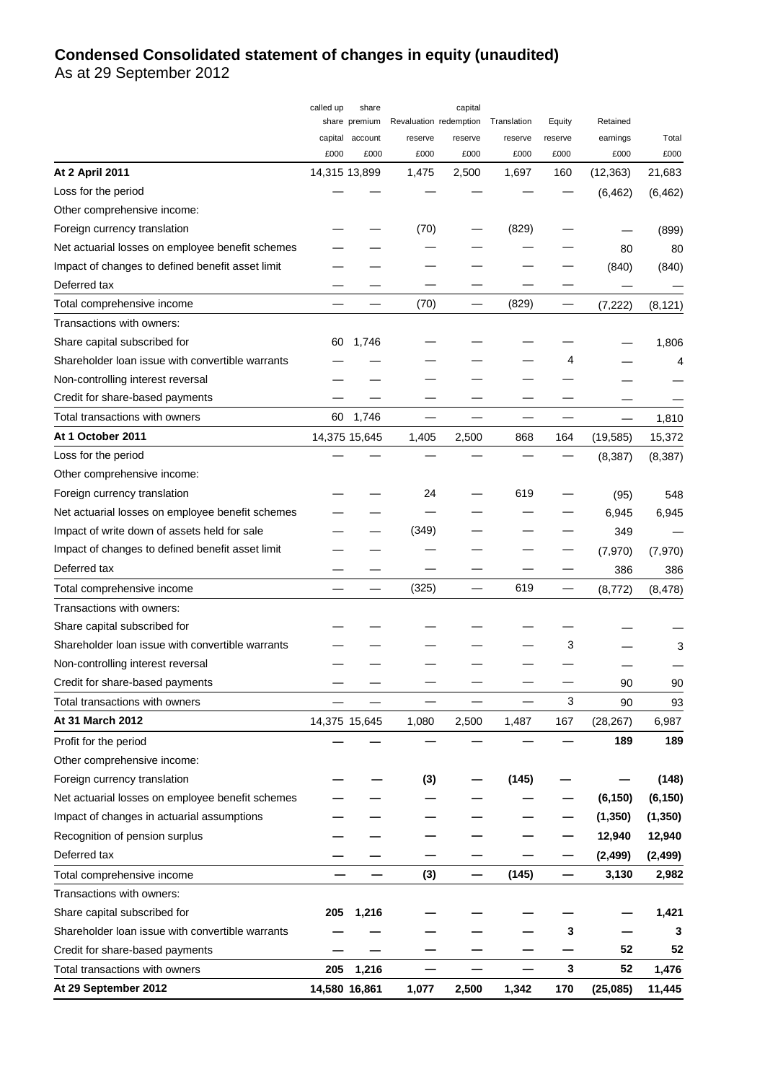# **Condensed Consolidated statement of changes in equity (unaudited)**

As at 29 September 2012

|                                                  | called up | share           |                        | capital |             |         |           |          |
|--------------------------------------------------|-----------|-----------------|------------------------|---------|-------------|---------|-----------|----------|
|                                                  |           | share premium   | Revaluation redemption |         | Translation | Equity  | Retained  |          |
|                                                  |           | capital account | reserve                | reserve | reserve     | reserve | earnings  | Total    |
|                                                  | £000      | £000            | £000                   | £000    | £000        | £000    | £000      | £000     |
| <b>At 2 April 2011</b>                           |           | 14,315 13,899   | 1,475                  | 2,500   | 1,697       | 160     | (12, 363) | 21,683   |
| Loss for the period                              |           |                 |                        |         |             |         | (6, 462)  | (6, 462) |
| Other comprehensive income:                      |           |                 |                        |         |             |         |           |          |
| Foreign currency translation                     |           |                 | (70)                   |         | (829)       |         |           | (899)    |
| Net actuarial losses on employee benefit schemes |           |                 |                        |         |             |         | 80        | 80       |
| Impact of changes to defined benefit asset limit |           |                 |                        |         |             |         | (840)     | (840)    |
| Deferred tax                                     |           |                 |                        |         |             |         |           |          |
| Total comprehensive income                       |           |                 | (70)                   |         | (829)       |         | (7, 222)  | (8, 121) |
| Transactions with owners:                        |           |                 |                        |         |             |         |           |          |
| Share capital subscribed for                     | 60        | 1,746           |                        |         |             |         |           | 1,806    |
| Shareholder loan issue with convertible warrants |           |                 |                        |         |             | 4       |           | 4        |
| Non-controlling interest reversal                |           |                 |                        |         |             |         |           |          |
| Credit for share-based payments                  |           |                 |                        |         |             |         |           |          |
| Total transactions with owners                   | 60        | 1,746           |                        |         |             |         |           | 1,810    |
| At 1 October 2011                                |           | 14,375 15,645   | 1,405                  | 2,500   | 868         | 164     | (19, 585) | 15,372   |
| Loss for the period                              |           |                 |                        |         |             |         | (8, 387)  | (8, 387) |
| Other comprehensive income:                      |           |                 |                        |         |             |         |           |          |
| Foreign currency translation                     |           |                 | 24                     |         | 619         |         | (95)      | 548      |
| Net actuarial losses on employee benefit schemes |           |                 |                        |         |             |         | 6,945     | 6,945    |
| Impact of write down of assets held for sale     |           |                 | (349)                  |         |             |         | 349       |          |
| Impact of changes to defined benefit asset limit |           |                 |                        |         |             |         | (7, 970)  | (7, 970) |
| Deferred tax                                     |           |                 |                        |         |             |         | 386       | 386      |
| Total comprehensive income                       |           |                 | (325)                  |         | 619         |         | (8, 772)  | (8, 478) |
| Transactions with owners:                        |           |                 |                        |         |             |         |           |          |
| Share capital subscribed for                     |           |                 |                        |         |             |         |           |          |
| Shareholder loan issue with convertible warrants |           |                 |                        |         |             | 3       |           | 3        |
| Non-controlling interest reversal                |           |                 |                        |         |             |         |           |          |
| Credit for share-based payments                  |           |                 |                        |         |             |         | 90        | 90       |
| Total transactions with owners                   |           |                 |                        |         |             | 3       | 90        | 93       |
| At 31 March 2012                                 |           | 14,375 15,645   | 1,080                  | 2,500   | 1,487       | 167     | (28, 267) | 6,987    |
| Profit for the period                            |           |                 |                        |         |             |         | 189       | 189      |
| Other comprehensive income:                      |           |                 |                        |         |             |         |           |          |
| Foreign currency translation                     |           |                 | (3)                    |         | (145)       |         |           | (148)    |
| Net actuarial losses on employee benefit schemes |           |                 |                        |         |             |         | (6, 150)  | (6, 150) |
| Impact of changes in actuarial assumptions       |           |                 |                        |         |             |         | (1, 350)  | (1, 350) |
| Recognition of pension surplus                   |           |                 |                        |         |             |         | 12,940    | 12,940   |
| Deferred tax                                     |           |                 |                        |         |             |         | (2, 499)  | (2, 499) |
| Total comprehensive income                       |           |                 | (3)                    |         | (145)       |         | 3,130     | 2,982    |
| Transactions with owners:                        |           |                 |                        |         |             |         |           |          |
|                                                  |           |                 |                        |         |             |         |           |          |
| Share capital subscribed for                     | 205       | 1,216           |                        |         |             |         |           | 1,421    |
| Shareholder loan issue with convertible warrants |           |                 |                        |         |             | 3       |           | 3        |
| Credit for share-based payments                  |           |                 |                        |         |             |         | 52        | 52       |
| Total transactions with owners                   | 205       | 1,216           |                        |         |             | 3       | 52        | 1,476    |
| At 29 September 2012                             |           | 14,580 16,861   | 1,077                  | 2,500   | 1,342       | 170     | (25,085)  | 11,445   |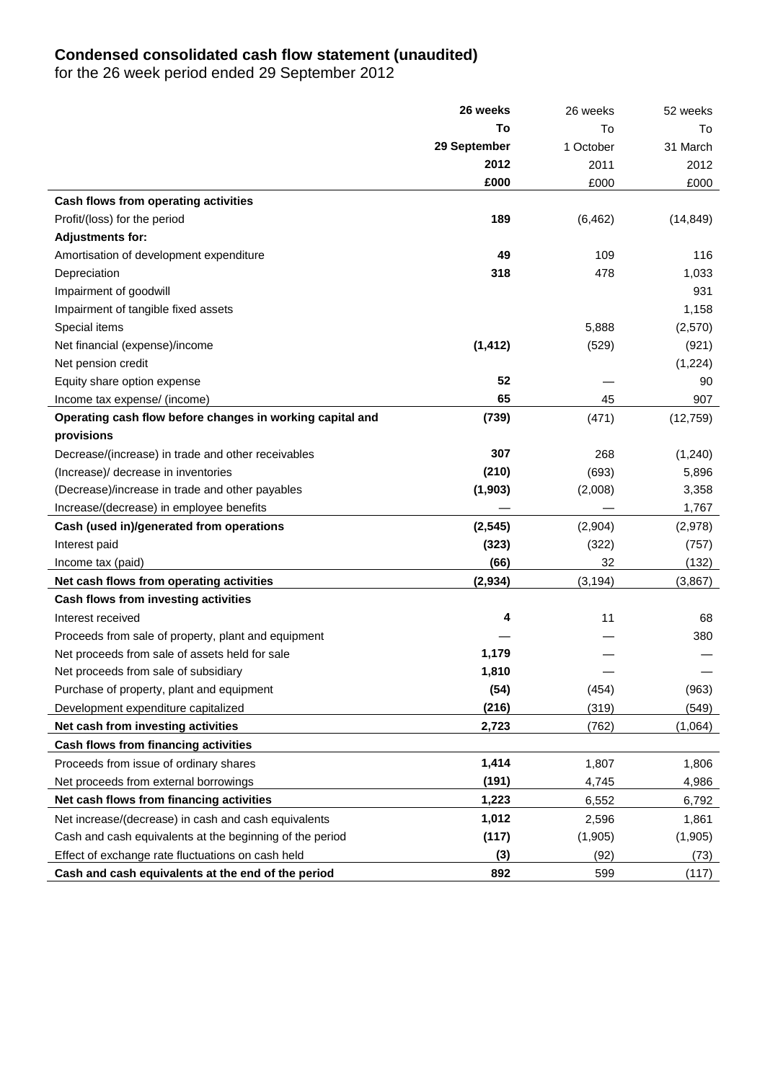## **Condensed consolidated cash flow statement (unaudited)**

for the 26 week period ended 29 September 2012

|                                                           | 26 weeks     | 26 weeks  | 52 weeks  |
|-----------------------------------------------------------|--------------|-----------|-----------|
|                                                           | То           | To        | To        |
|                                                           | 29 September | 1 October | 31 March  |
|                                                           | 2012         | 2011      | 2012      |
|                                                           | £000         | £000      | £000      |
| Cash flows from operating activities                      |              |           |           |
| Profit/(loss) for the period                              | 189          | (6, 462)  | (14, 849) |
| <b>Adjustments for:</b>                                   |              |           |           |
| Amortisation of development expenditure                   | 49           | 109       | 116       |
| Depreciation                                              | 318          | 478       | 1,033     |
| Impairment of goodwill                                    |              |           | 931       |
| Impairment of tangible fixed assets                       |              |           | 1,158     |
| Special items                                             |              | 5,888     | (2,570)   |
| Net financial (expense)/income                            | (1, 412)     | (529)     | (921)     |
| Net pension credit                                        |              |           | (1,224)   |
| Equity share option expense                               | 52           |           | 90        |
| Income tax expense/ (income)                              | 65           | 45        | 907       |
| Operating cash flow before changes in working capital and | (739)        | (471)     | (12, 759) |
| provisions                                                |              |           |           |
| Decrease/(increase) in trade and other receivables        | 307          | 268       | (1, 240)  |
| (Increase)/ decrease in inventories                       | (210)        | (693)     | 5,896     |
| (Decrease)/increase in trade and other payables           | (1,903)      | (2,008)   | 3,358     |
| Increase/(decrease) in employee benefits                  |              |           | 1,767     |
| Cash (used in)/generated from operations                  | (2, 545)     | (2,904)   | (2,978)   |
| Interest paid                                             | (323)        | (322)     | (757)     |
| Income tax (paid)                                         | (66)         | 32        | (132)     |
| Net cash flows from operating activities                  | (2,934)      | (3, 194)  | (3,867)   |
| Cash flows from investing activities                      |              |           |           |
| Interest received                                         | 4            | 11        | 68        |
| Proceeds from sale of property, plant and equipment       |              |           | 380       |
| Net proceeds from sale of assets held for sale            | 1,179        |           |           |
| Net proceeds from sale of subsidiary                      | 1,810        |           |           |
| Purchase of property, plant and equipment                 | (54)         | (454)     | (963)     |
| Development expenditure capitalized                       | (216)        | (319)     | (549)     |
| Net cash from investing activities                        | 2,723        | (762)     | (1,064)   |
| Cash flows from financing activities                      |              |           |           |
| Proceeds from issue of ordinary shares                    | 1,414        | 1,807     | 1,806     |
| Net proceeds from external borrowings                     | (191)        | 4,745     | 4,986     |
| Net cash flows from financing activities                  | 1,223        | 6,552     | 6,792     |
| Net increase/(decrease) in cash and cash equivalents      | 1,012        | 2,596     | 1,861     |
| Cash and cash equivalents at the beginning of the period  | (117)        | (1,905)   | (1,905)   |
| Effect of exchange rate fluctuations on cash held         | (3)          | (92)      | (73)      |
| Cash and cash equivalents at the end of the period        | 892          | 599       | (117)     |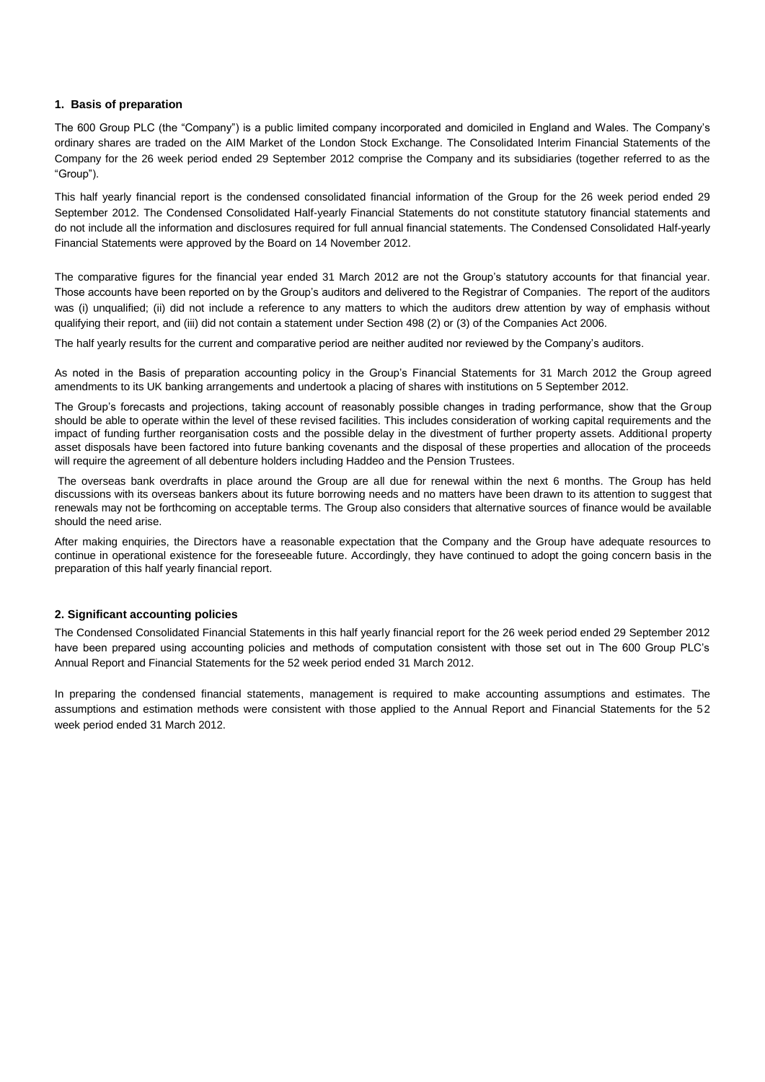### **1. Basis of preparation**

The 600 Group PLC (the "Company") is a public limited company incorporated and domiciled in England and Wales. The Company's ordinary shares are traded on the AIM Market of the London Stock Exchange. The Consolidated Interim Financial Statements of the Company for the 26 week period ended 29 September 2012 comprise the Company and its subsidiaries (together referred to as the "Group").

This half yearly financial report is the condensed consolidated financial information of the Group for the 26 week period ended 29 September 2012. The Condensed Consolidated Half-yearly Financial Statements do not constitute statutory financial statements and do not include all the information and disclosures required for full annual financial statements. The Condensed Consolidated Half-yearly Financial Statements were approved by the Board on 14 November 2012.

The comparative figures for the financial year ended 31 March 2012 are not the Group's statutory accounts for that financial year. Those accounts have been reported on by the Group's auditors and delivered to the Registrar of Companies. The report of the auditors was (i) unqualified; (ii) did not include a reference to any matters to which the auditors drew attention by way of emphasis without qualifying their report, and (iii) did not contain a statement under Section 498 (2) or (3) of the Companies Act 2006.

The half yearly results for the current and comparative period are neither audited nor reviewed by the Company's auditors.

As noted in the Basis of preparation accounting policy in the Group's Financial Statements for 31 March 2012 the Group agreed amendments to its UK banking arrangements and undertook a placing of shares with institutions on 5 September 2012.

The Group's forecasts and projections, taking account of reasonably possible changes in trading performance, show that the Group should be able to operate within the level of these revised facilities. This includes consideration of working capital requirements and the impact of funding further reorganisation costs and the possible delay in the divestment of further property assets. Additional property asset disposals have been factored into future banking covenants and the disposal of these properties and allocation of the proceeds will require the agreement of all debenture holders including Haddeo and the Pension Trustees.

The overseas bank overdrafts in place around the Group are all due for renewal within the next 6 months. The Group has held discussions with its overseas bankers about its future borrowing needs and no matters have been drawn to its attention to suggest that renewals may not be forthcoming on acceptable terms. The Group also considers that alternative sources of finance would be available should the need arise.

After making enquiries, the Directors have a reasonable expectation that the Company and the Group have adequate resources to continue in operational existence for the foreseeable future. Accordingly, they have continued to adopt the going concern basis in the preparation of this half yearly financial report.

### **2. Significant accounting policies**

The Condensed Consolidated Financial Statements in this half yearly financial report for the 26 week period ended 29 September 2012 have been prepared using accounting policies and methods of computation consistent with those set out in The 600 Group PLC's Annual Report and Financial Statements for the 52 week period ended 31 March 2012.

In preparing the condensed financial statements, management is required to make accounting assumptions and estimates. The assumptions and estimation methods were consistent with those applied to the Annual Report and Financial Statements for the 52 week period ended 31 March 2012.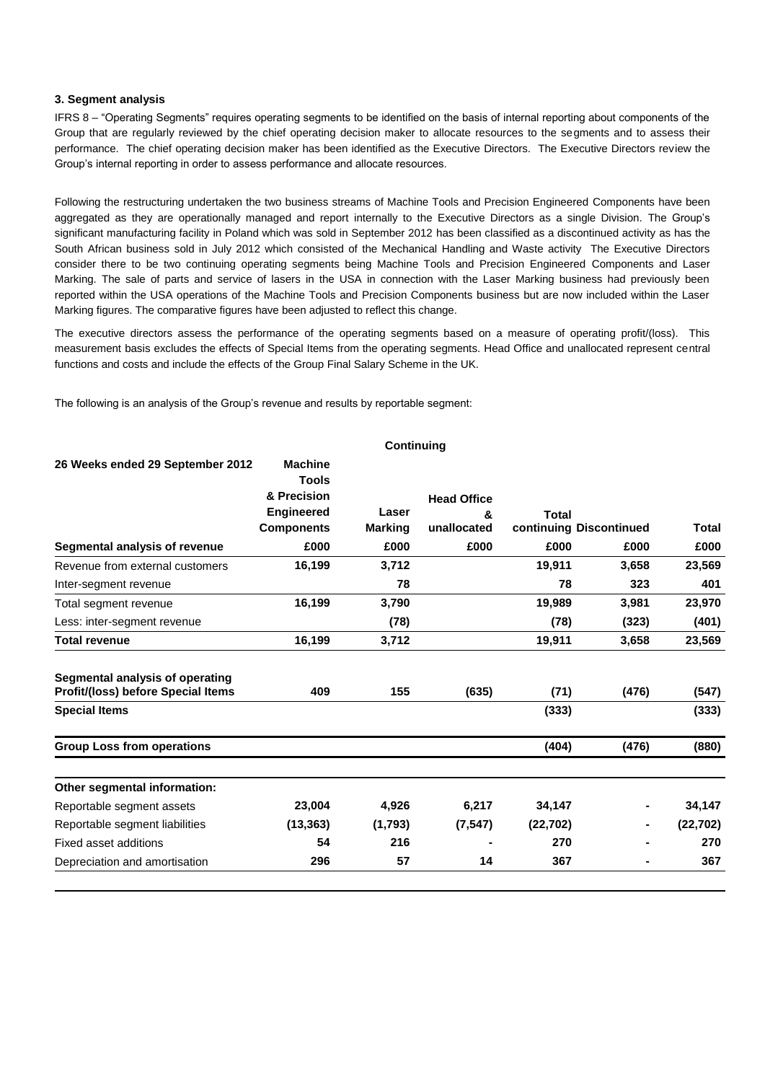### **3. Segment analysis**

IFRS 8 – "Operating Segments" requires operating segments to be identified on the basis of internal reporting about components of the Group that are regularly reviewed by the chief operating decision maker to allocate resources to the segments and to assess their performance. The chief operating decision maker has been identified as the Executive Directors. The Executive Directors review the Group's internal reporting in order to assess performance and allocate resources.

Following the restructuring undertaken the two business streams of Machine Tools and Precision Engineered Components have been aggregated as they are operationally managed and report internally to the Executive Directors as a single Division. The Group's significant manufacturing facility in Poland which was sold in September 2012 has been classified as a discontinued activity as has the South African business sold in July 2012 which consisted of the Mechanical Handling and Waste activity The Executive Directors consider there to be two continuing operating segments being Machine Tools and Precision Engineered Components and Laser Marking. The sale of parts and service of lasers in the USA in connection with the Laser Marking business had previously been reported within the USA operations of the Machine Tools and Precision Components business but are now included within the Laser Marking figures. The comparative figures have been adjusted to reflect this change.

The executive directors assess the performance of the operating segments based on a measure of operating profit/(loss). This measurement basis excludes the effects of Special Items from the operating segments. Head Office and unallocated represent central functions and costs and include the effects of the Group Final Salary Scheme in the UK.

The following is an analysis of the Group's revenue and results by reportable segment:

|                                                                       |                                                                                         | Continuing              |                                        |           |                         |           |
|-----------------------------------------------------------------------|-----------------------------------------------------------------------------------------|-------------------------|----------------------------------------|-----------|-------------------------|-----------|
| 26 Weeks ended 29 September 2012                                      | <b>Machine</b><br><b>Tools</b><br>& Precision<br><b>Engineered</b><br><b>Components</b> | Laser<br><b>Marking</b> | <b>Head Office</b><br>&<br>unallocated | Total     | continuing Discontinued | Total     |
| Segmental analysis of revenue                                         | £000                                                                                    | £000                    | £000                                   | £000      | £000                    | £000      |
| Revenue from external customers                                       | 16,199                                                                                  | 3,712                   |                                        | 19,911    | 3,658                   | 23,569    |
| Inter-segment revenue                                                 |                                                                                         | 78                      |                                        | 78        | 323                     | 401       |
| Total segment revenue                                                 | 16,199                                                                                  | 3,790                   |                                        | 19,989    | 3,981                   | 23,970    |
| Less: inter-segment revenue                                           |                                                                                         | (78)                    |                                        | (78)      | (323)                   | (401)     |
| <b>Total revenue</b>                                                  | 16,199                                                                                  | 3,712                   |                                        | 19,911    | 3,658                   | 23,569    |
| Segmental analysis of operating<br>Profit/(loss) before Special Items | 409                                                                                     | 155                     | (635)                                  | (71)      | (476)                   | (547)     |
| <b>Special Items</b>                                                  |                                                                                         |                         |                                        | (333)     |                         | (333)     |
| <b>Group Loss from operations</b>                                     |                                                                                         |                         |                                        | (404)     | (476)                   | (880)     |
| Other segmental information:                                          |                                                                                         |                         |                                        |           |                         |           |
| Reportable segment assets                                             | 23,004                                                                                  | 4,926                   | 6,217                                  | 34,147    |                         | 34,147    |
| Reportable segment liabilities                                        | (13, 363)                                                                               | (1,793)                 | (7, 547)                               | (22, 702) |                         | (22, 702) |
| Fixed asset additions                                                 | 54                                                                                      | 216                     |                                        | 270       |                         | 270       |
| Depreciation and amortisation                                         | 296                                                                                     | 57                      | 14                                     | 367       |                         | 367       |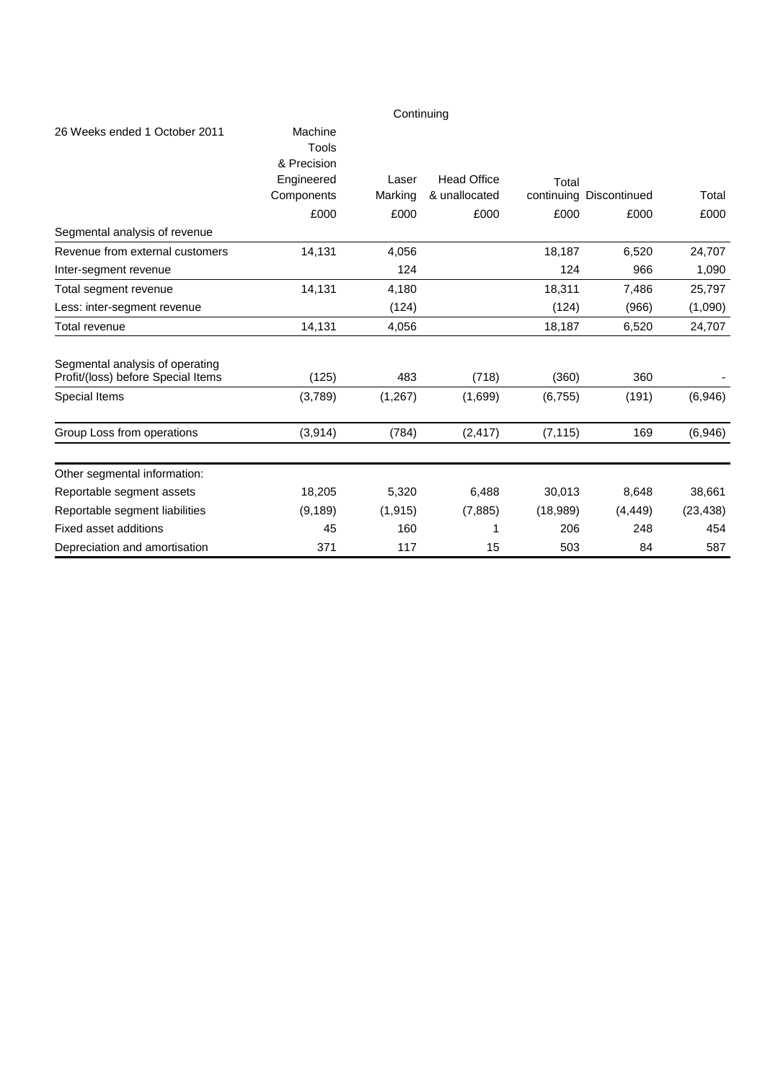|                                                                       |                                                             | Continuing       |                                     |          |                         |           |
|-----------------------------------------------------------------------|-------------------------------------------------------------|------------------|-------------------------------------|----------|-------------------------|-----------|
| 26 Weeks ended 1 October 2011                                         | Machine<br>Tools<br>& Precision<br>Engineered<br>Components | Laser<br>Marking | <b>Head Office</b><br>& unallocated | Total    | continuing Discontinued | Total     |
|                                                                       | £000                                                        | £000             | £000                                | £000     | £000                    | £000      |
| Segmental analysis of revenue                                         |                                                             |                  |                                     |          |                         |           |
| Revenue from external customers                                       | 14,131                                                      | 4,056            |                                     | 18,187   | 6,520                   | 24,707    |
| Inter-segment revenue                                                 |                                                             | 124              |                                     | 124      | 966                     | 1,090     |
| Total segment revenue                                                 | 14,131                                                      | 4,180            |                                     | 18,311   | 7,486                   | 25,797    |
| Less: inter-segment revenue                                           |                                                             | (124)            |                                     | (124)    | (966)                   | (1,090)   |
| Total revenue                                                         | 14,131                                                      | 4,056            |                                     | 18,187   | 6,520                   | 24,707    |
| Segmental analysis of operating<br>Profit/(loss) before Special Items | (125)                                                       | 483              | (718)                               | (360)    | 360                     |           |
| Special Items                                                         | (3,789)                                                     | (1, 267)         | (1,699)                             | (6, 755) | (191)                   | (6,946)   |
| Group Loss from operations                                            | (3,914)                                                     | (784)            | (2, 417)                            | (7, 115) | 169                     | (6,946)   |
| Other segmental information:                                          |                                                             |                  |                                     |          |                         |           |
| Reportable segment assets                                             | 18,205                                                      | 5,320            | 6,488                               | 30,013   | 8,648                   | 38,661    |
| Reportable segment liabilities                                        | (9, 189)                                                    | (1, 915)         | (7, 885)                            | (18,989) | (4, 449)                | (23, 438) |
| Fixed asset additions                                                 | 45                                                          | 160              | 1                                   | 206      | 248                     | 454       |
| Depreciation and amortisation                                         | 371                                                         | 117              | 15                                  | 503      | 84                      | 587       |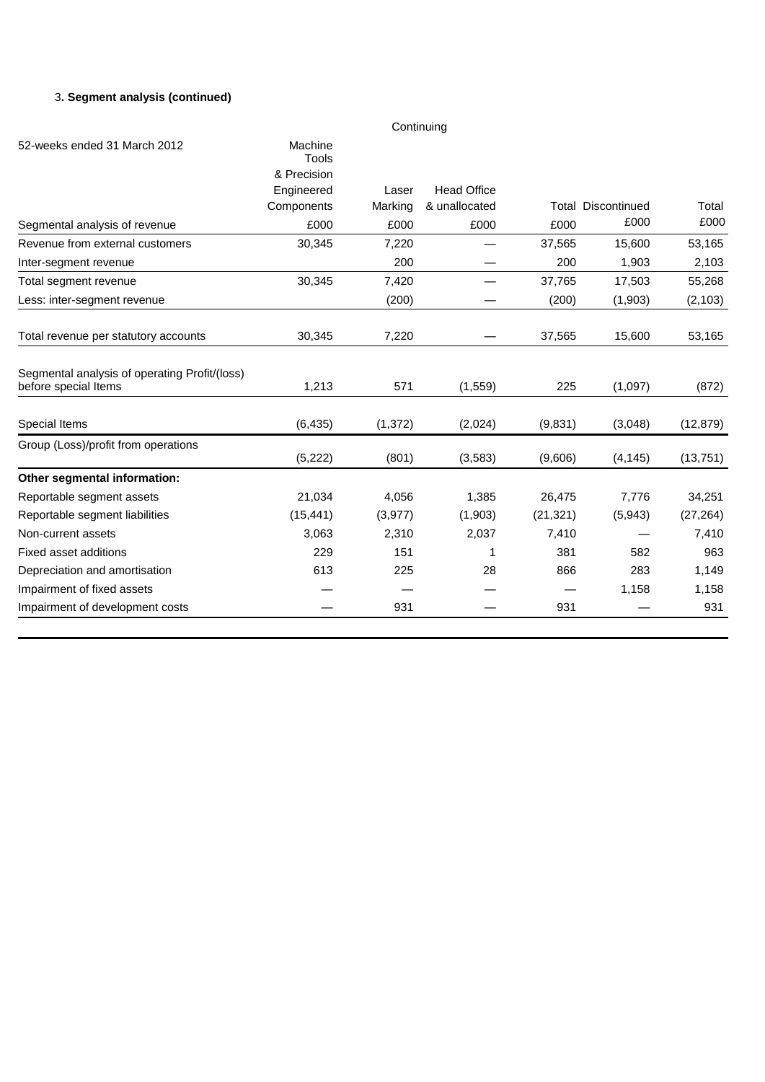# 3**. Segment analysis (continued)**

|                                                                       |                  | Continuing |                    |           |                           |           |
|-----------------------------------------------------------------------|------------------|------------|--------------------|-----------|---------------------------|-----------|
| 52-weeks ended 31 March 2012                                          | Machine<br>Tools |            |                    |           |                           |           |
|                                                                       | & Precision      |            |                    |           |                           |           |
|                                                                       | Engineered       | Laser      | <b>Head Office</b> |           |                           |           |
|                                                                       | Components       | Marking    | & unallocated      |           | <b>Total Discontinued</b> | Total     |
| Segmental analysis of revenue                                         | £000             | £000       | £000               | £000      | £000                      | £000      |
| Revenue from external customers                                       | 30,345           | 7,220      |                    | 37,565    | 15,600                    | 53,165    |
| Inter-segment revenue                                                 |                  | 200        |                    | 200       | 1,903                     | 2,103     |
| Total segment revenue                                                 | 30,345           | 7,420      |                    | 37,765    | 17,503                    | 55,268    |
| Less: inter-segment revenue                                           |                  | (200)      |                    | (200)     | (1,903)                   | (2, 103)  |
| Total revenue per statutory accounts                                  | 30,345           | 7,220      |                    | 37,565    | 15,600                    | 53,165    |
| Segmental analysis of operating Profit/(loss)<br>before special Items | 1,213            | 571        | (1, 559)           | 225       | (1,097)                   | (872)     |
| Special Items                                                         | (6, 435)         | (1, 372)   | (2,024)            | (9,831)   | (3,048)                   | (12, 879) |
| Group (Loss)/profit from operations                                   | (5, 222)         | (801)      | (3, 583)           | (9,606)   | (4, 145)                  | (13, 751) |
| Other segmental information:                                          |                  |            |                    |           |                           |           |
| Reportable segment assets                                             | 21,034           | 4,056      | 1,385              | 26,475    | 7,776                     | 34,251    |
| Reportable segment liabilities                                        | (15, 441)        | (3,977)    | (1,903)            | (21, 321) | (5,943)                   | (27, 264) |
| Non-current assets                                                    | 3,063            | 2,310      | 2,037              | 7,410     |                           | 7,410     |
| <b>Fixed asset additions</b>                                          | 229              | 151        | 1                  | 381       | 582                       | 963       |
| Depreciation and amortisation                                         | 613              | 225        | 28                 | 866       | 283                       | 1,149     |
| Impairment of fixed assets                                            |                  |            |                    |           | 1,158                     | 1,158     |
| Impairment of development costs                                       |                  | 931        |                    | 931       |                           | 931       |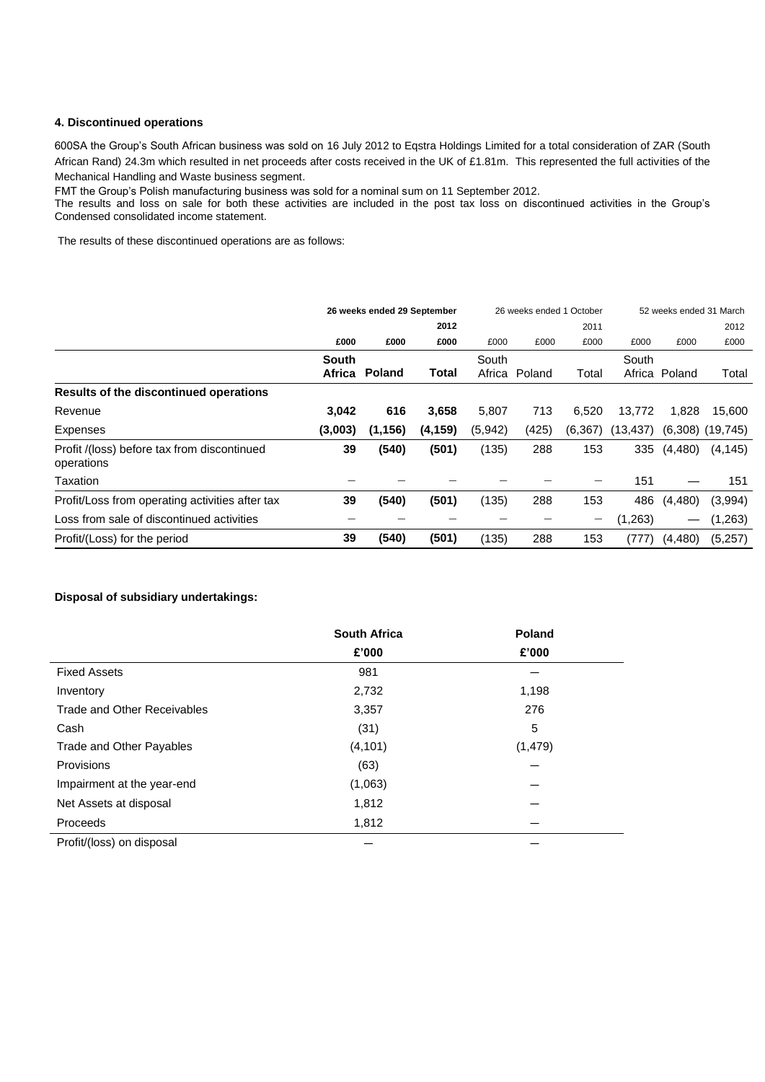### **4. Discontinued operations**

600SA the Group's South African business was sold on 16 July 2012 to Eqstra Holdings Limited for a total consideration of ZAR (South African Rand) 24.3m which resulted in net proceeds after costs received in the UK of £1.81m. This represented the full activities of the Mechanical Handling and Waste business segment.

FMT the Group's Polish manufacturing business was sold for a nominal sum on 11 September 2012.

The results and loss on sale for both these activities are included in the post tax loss on discontinued activities in the Group's Condensed consolidated income statement.

The results of these discontinued operations are as follows:

|                                                           | 26 weeks ended 29 September |          |          | 26 weeks ended 1 October |        | 52 weeks ended 31 March |           |               |                      |
|-----------------------------------------------------------|-----------------------------|----------|----------|--------------------------|--------|-------------------------|-----------|---------------|----------------------|
|                                                           |                             |          | 2012     |                          |        | 2011                    |           |               | 2012                 |
|                                                           | £000                        | £000     | £000     | £000                     | £000   | £000                    | £000      | £000          | £000                 |
|                                                           | <b>South</b>                |          |          | South                    |        |                         | South     |               |                      |
|                                                           | Africa                      | Poland   | Total    | Africa                   | Poland | Total                   |           | Africa Poland | Total                |
| Results of the discontinued operations                    |                             |          |          |                          |        |                         |           |               |                      |
| Revenue                                                   | 3,042                       | 616      | 3,658    | 5,807                    | 713    | 6,520                   | 13,772    | 1,828         | 15.600               |
| Expenses                                                  | (3,003)                     | (1, 156) | (4, 159) | (5,942)                  | (425)  | (6, 367)                | (13, 437) |               | $(6,308)$ $(19,745)$ |
| Profit /(loss) before tax from discontinued<br>operations | 39                          | (540)    | (501)    | (135)                    | 288    | 153                     | 335       | (4, 480)      | (4, 145)             |
| Taxation                                                  |                             |          |          |                          |        |                         | 151       |               | 151                  |
| Profit/Loss from operating activities after tax           | 39                          | (540)    | (501)    | (135)                    | 288    | 153                     | 486       | (4, 480)      | (3,994)              |
| Loss from sale of discontinued activities                 |                             |          |          |                          |        | —                       | (1,263)   |               | (1,263)              |
| Profit/(Loss) for the period                              | 39                          | (540)    | (501)    | (135)                    | 288    | 153                     | (777)     | (4, 480)      | (5,257)              |

## **Disposal of subsidiary undertakings:**

|                             | <b>South Africa</b> | Poland   |
|-----------------------------|---------------------|----------|
|                             | £'000               | £'000    |
| <b>Fixed Assets</b>         | 981                 |          |
| Inventory                   | 2,732               | 1,198    |
| Trade and Other Receivables | 3,357               | 276      |
| Cash                        | (31)                | 5        |
| Trade and Other Payables    | (4, 101)            | (1, 479) |
| Provisions                  | (63)                |          |
| Impairment at the year-end  | (1,063)             |          |
| Net Assets at disposal      | 1,812               |          |
| Proceeds                    | 1,812               |          |
| Profit/(loss) on disposal   |                     |          |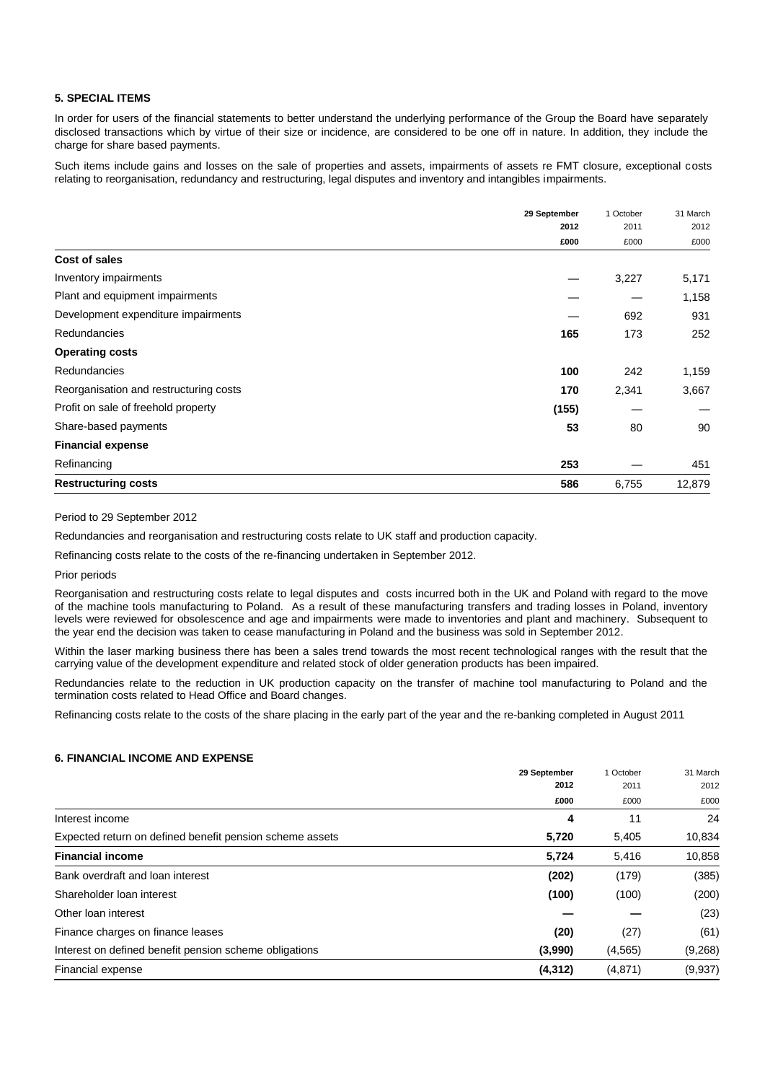## **5. SPECIAL ITEMS**

In order for users of the financial statements to better understand the underlying performance of the Group the Board have separately disclosed transactions which by virtue of their size or incidence, are considered to be one off in nature. In addition, they include the charge for share based payments.

Such items include gains and losses on the sale of properties and assets, impairments of assets re FMT closure, exceptional costs relating to reorganisation, redundancy and restructuring, legal disputes and inventory and intangibles impairments.

|                                        | 29 September | 1 October | 31 March |
|----------------------------------------|--------------|-----------|----------|
|                                        | 2012         | 2011      | 2012     |
|                                        | £000         | £000      | £000     |
| Cost of sales                          |              |           |          |
| Inventory impairments                  |              | 3,227     | 5,171    |
| Plant and equipment impairments        |              |           | 1,158    |
| Development expenditure impairments    |              | 692       | 931      |
| Redundancies                           | 165          | 173       | 252      |
| <b>Operating costs</b>                 |              |           |          |
| Redundancies                           | 100          | 242       | 1,159    |
| Reorganisation and restructuring costs | 170          | 2,341     | 3,667    |
| Profit on sale of freehold property    | (155)        |           |          |
| Share-based payments                   | 53           | 80        | 90       |
| <b>Financial expense</b>               |              |           |          |
| Refinancing                            | 253          |           | 451      |
| <b>Restructuring costs</b>             | 586          | 6,755     | 12,879   |

### Period to 29 September 2012

Redundancies and reorganisation and restructuring costs relate to UK staff and production capacity.

Refinancing costs relate to the costs of the re-financing undertaken in September 2012.

Prior periods

Reorganisation and restructuring costs relate to legal disputes and costs incurred both in the UK and Poland with regard to the move of the machine tools manufacturing to Poland. As a result of these manufacturing transfers and trading losses in Poland, inventory levels were reviewed for obsolescence and age and impairments were made to inventories and plant and machinery. Subsequent to the year end the decision was taken to cease manufacturing in Poland and the business was sold in September 2012.

Within the laser marking business there has been a sales trend towards the most recent technological ranges with the result that the carrying value of the development expenditure and related stock of older generation products has been impaired.

Redundancies relate to the reduction in UK production capacity on the transfer of machine tool manufacturing to Poland and the termination costs related to Head Office and Board changes.

Refinancing costs relate to the costs of the share placing in the early part of the year and the re-banking completed in August 2011

#### **6. FINANCIAL INCOME AND EXPENSE**

|                                                          | 29 September<br>2012 | 1 October<br>2011<br>£000 | 31 March |
|----------------------------------------------------------|----------------------|---------------------------|----------|
|                                                          |                      |                           | 2012     |
|                                                          | £000                 |                           | £000     |
| Interest income                                          | 4                    | 11                        | 24       |
| Expected return on defined benefit pension scheme assets | 5,720                | 5,405                     | 10,834   |
| <b>Financial income</b>                                  | 5,724                | 5,416                     | 10,858   |
| Bank overdraft and loan interest                         | (202)                | (179)                     | (385)    |
| Shareholder Ioan interest                                | (100)                | (100)                     | (200)    |
| Other Ioan interest                                      |                      |                           | (23)     |
| Finance charges on finance leases                        | (20)                 | (27)                      | (61)     |
| Interest on defined benefit pension scheme obligations   | (3,990)              | (4, 565)                  | (9,268)  |
| Financial expense                                        | (4, 312)             | (4,871)                   | (9,937)  |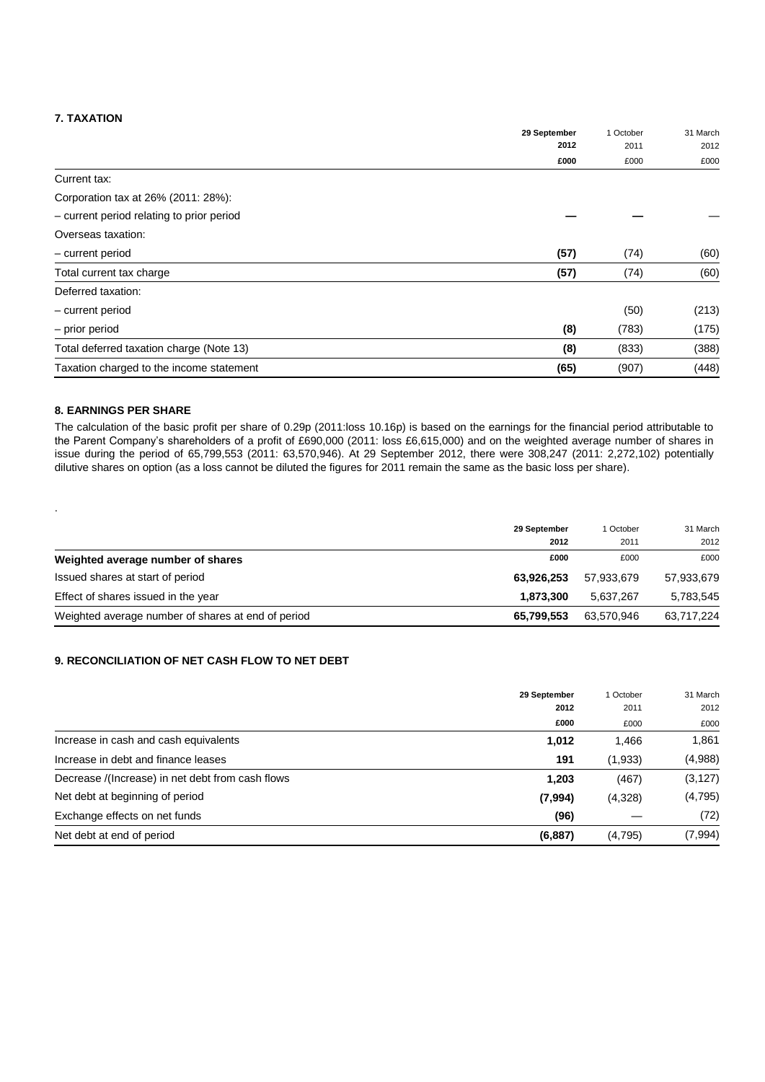## **7. TAXATION**

|                                           | 29 September | 1 October<br>2011 | 31 March<br>2012 |
|-------------------------------------------|--------------|-------------------|------------------|
|                                           | 2012         |                   |                  |
|                                           | £000         | £000              | £000             |
| Current tax:                              |              |                   |                  |
| Corporation tax at 26% (2011: 28%):       |              |                   |                  |
| - current period relating to prior period |              |                   |                  |
| Overseas taxation:                        |              |                   |                  |
| - current period                          | (57)         | (74)              | (60)             |
| Total current tax charge                  | (57)         | (74)              | (60)             |
| Deferred taxation:                        |              |                   |                  |
| - current period                          |              | (50)              | (213)            |
| - prior period                            | (8)          | (783)             | (175)            |
| Total deferred taxation charge (Note 13)  | (8)          | (833)             | (388)            |
| Taxation charged to the income statement  | (65)         | (907)             | (448)            |

### **8. EARNINGS PER SHARE**

.

The calculation of the basic profit per share of 0.29p (2011:loss 10.16p) is based on the earnings for the financial period attributable to the Parent Company's shareholders of a profit of £690,000 (2011: loss £6,615,000) and on the weighted average number of shares in issue during the period of 65,799,553 (2011: 63,570,946). At 29 September 2012, there were 308,247 (2011: 2,272,102) potentially dilutive shares on option (as a loss cannot be diluted the figures for 2011 remain the same as the basic loss per share).

|                                                    | 29 September<br>2012 | 1 October<br>2011 | 31 March<br>2012 |
|----------------------------------------------------|----------------------|-------------------|------------------|
| Weighted average number of shares                  | £000                 | £000              | £000             |
| Issued shares at start of period                   | 63,926,253           | 57.933.679        | 57,933,679       |
| Effect of shares issued in the year                | 1.873.300            | 5.637.267         | 5,783,545        |
| Weighted average number of shares at end of period | 65,799,553           | 63,570,946        | 63.717.224       |

## **9. RECONCILIATION OF NET CASH FLOW TO NET DEBT**

|                                                  | 29 September<br>2012 | 1 October<br>2011 | 31 March<br>2012 |
|--------------------------------------------------|----------------------|-------------------|------------------|
|                                                  | £000                 | £000              | £000             |
| Increase in cash and cash equivalents            | 1,012                | 1.466             | 1,861            |
| Increase in debt and finance leases              | 191                  | (1,933)           | (4,988)          |
| Decrease /(Increase) in net debt from cash flows | 1.203                | (467)             | (3, 127)         |
| Net debt at beginning of period                  | (7,994)              | (4,328)           | (4,795)          |
| Exchange effects on net funds                    | (96)                 |                   | (72)             |
| Net debt at end of period                        | (6,887)              | (4,795)           | (7,994)          |